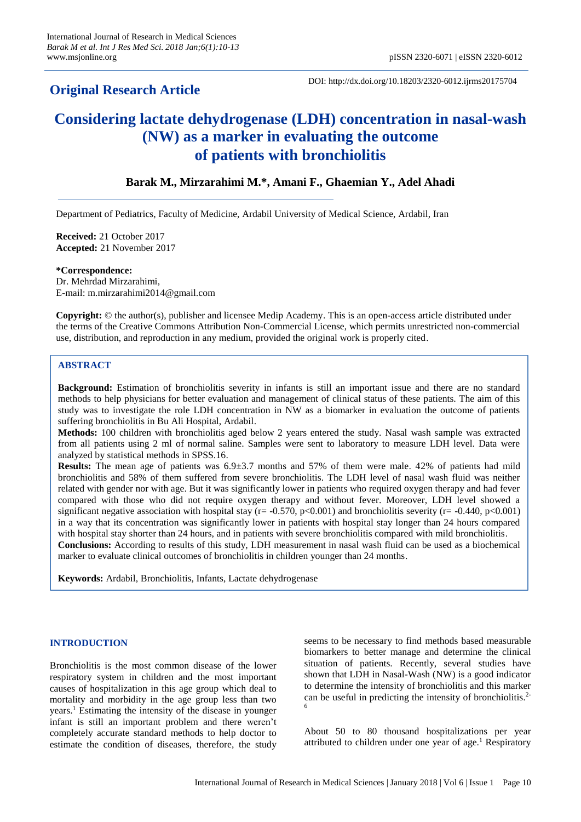## **Original Research Article**

DOI: http://dx.doi.org/10.18203/2320-6012.ijrms20175704

# **Considering lactate dehydrogenase (LDH) concentration in nasal-wash (NW) as a marker in evaluating the outcome of patients with bronchiolitis**

### **Barak M., Mirzarahimi M.\*, Amani F., Ghaemian Y., Adel Ahadi**

Department of Pediatrics, Faculty of Medicine, Ardabil University of Medical Science, Ardabil, Iran

**Received:** 21 October 2017 **Accepted:** 21 November 2017

**\*Correspondence:** Dr. Mehrdad Mirzarahimi, E-mail: m.mirzarahimi2014@gmail.com

**Copyright:** © the author(s), publisher and licensee Medip Academy. This is an open-access article distributed under the terms of the Creative Commons Attribution Non-Commercial License, which permits unrestricted non-commercial use, distribution, and reproduction in any medium, provided the original work is properly cited.

#### **ABSTRACT**

**Background:** Estimation of bronchiolitis severity in infants is still an important issue and there are no standard methods to help physicians for better evaluation and management of clinical status of these patients. The aim of this study was to investigate the role LDH concentration in NW as a biomarker in evaluation the outcome of patients suffering bronchiolitis in Bu Ali Hospital, Ardabil.

**Methods:** 100 children with bronchiolitis aged below 2 years entered the study. Nasal wash sample was extracted from all patients using 2 ml of normal saline. Samples were sent to laboratory to measure LDH level. Data were analyzed by statistical methods in SPSS.16.

**Results:** The mean age of patients was 6.9±3.7 months and 57% of them were male. 42% of patients had mild bronchiolitis and 58% of them suffered from severe bronchiolitis. The LDH level of nasal wash fluid was neither related with gender nor with age. But it was significantly lower in patients who required oxygen therapy and had fever compared with those who did not require oxygen therapy and without fever. Moreover, LDH level showed a significant negative association with hospital stay ( $r = -0.570$ ,  $p < 0.001$ ) and bronchiolitis severity ( $r = -0.440$ ,  $p < 0.001$ ) in a way that its concentration was significantly lower in patients with hospital stay longer than 24 hours compared with hospital stay shorter than 24 hours, and in patients with severe bronchiolitis compared with mild bronchiolitis.

**Conclusions:** According to results of this study, LDH measurement in nasal wash fluid can be used as a biochemical marker to evaluate clinical outcomes of bronchiolitis in children younger than 24 months.

**Keywords:** Ardabil, Bronchiolitis, Infants, Lactate dehydrogenase

#### **INTRODUCTION**

Bronchiolitis is the most common disease of the lower respiratory system in children and the most important causes of hospitalization in this age group which deal to mortality and morbidity in the age group less than two years.<sup>1</sup> Estimating the intensity of the disease in younger infant is still an important problem and there weren't completely accurate standard methods to help doctor to estimate the condition of diseases, therefore, the study seems to be necessary to find methods based measurable biomarkers to better manage and determine the clinical situation of patients. Recently, several studies have shown that LDH in Nasal-Wash (NW) is a good indicator to determine the intensity of bronchiolitis and this marker can be useful in predicting the intensity of bronchiolitis.2- 6

About 50 to 80 thousand hospitalizations per year attributed to children under one year of age.<sup>1</sup> Respiratory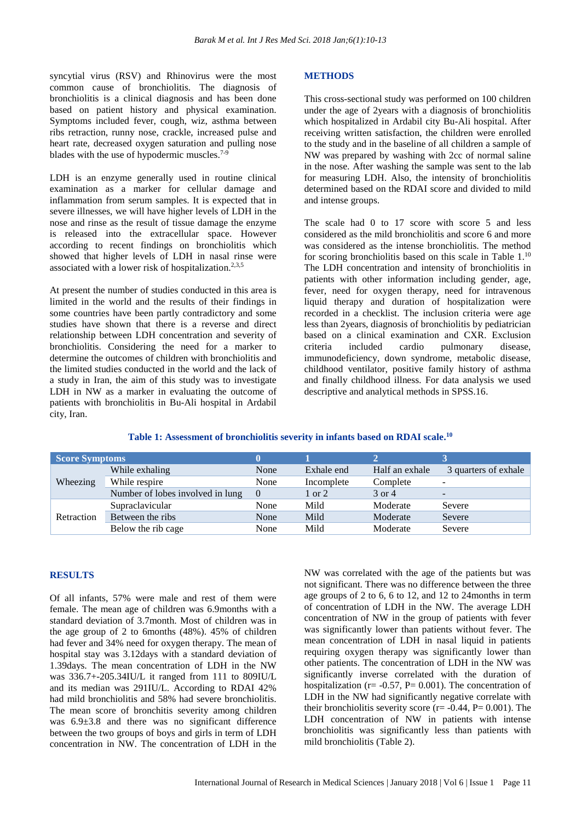syncytial virus (RSV) and Rhinovirus were the most common cause of bronchiolitis. The diagnosis of bronchiolitis is a clinical diagnosis and has been done based on patient history and physical examination. Symptoms included fever, cough, wiz, asthma between ribs retraction, runny nose, crackle, increased pulse and heart rate, decreased oxygen saturation and pulling nose blades with the use of hypodermic muscles. $7-$ 

LDH is an enzyme generally used in routine clinical examination as a marker for cellular damage and inflammation from serum samples. It is expected that in severe illnesses, we will have higher levels of LDH in the nose and rinse as the result of tissue damage the enzyme is released into the extracellular space. However according to recent findings on bronchiolitis which showed that higher levels of LDH in nasal rinse were associated with a lower risk of hospitalization.<sup>2,3,5</sup>

At present the number of studies conducted in this area is limited in the world and the results of their findings in some countries have been partly contradictory and some studies have shown that there is a reverse and direct relationship between LDH concentration and severity of bronchiolitis. Considering the need for a marker to determine the outcomes of children with bronchiolitis and the limited studies conducted in the world and the lack of a study in Iran, the aim of this study was to investigate LDH in NW as a marker in evaluating the outcome of patients with bronchiolitis in Bu-Ali hospital in Ardabil city, Iran.

#### **METHODS**

This cross-sectional study was performed on 100 children under the age of 2years with a diagnosis of bronchiolitis which hospitalized in Ardabil city Bu-Ali hospital. After receiving written satisfaction, the children were enrolled to the study and in the baseline of all children a sample of NW was prepared by washing with 2cc of normal saline in the nose. After washing the sample was sent to the lab for measuring LDH. Also, the intensity of bronchiolitis determined based on the RDAI score and divided to mild and intense groups.

The scale had 0 to 17 score with score 5 and less considered as the mild bronchiolitis and score 6 and more was considered as the intense bronchiolitis. The method for scoring bronchiolitis based on this scale in Table 1.<sup>10</sup> The LDH concentration and intensity of bronchiolitis in patients with other information including gender, age, fever, need for oxygen therapy, need for intravenous liquid therapy and duration of hospitalization were recorded in a checklist. The inclusion criteria were age less than 2years, diagnosis of bronchiolitis by pediatrician based on a clinical examination and CXR. Exclusion<br>criteria included cardio pulmonary disease, criteria included cardio pulmonary disease, immunodeficiency, down syndrome, metabolic disease, childhood ventilator, positive family history of asthma and finally childhood illness. For data analysis we used descriptive and analytical methods in SPSS.16.

| Table 1: Assessment of bronchiolitis severity in infants based on RDAI scale. <sup>10</sup> |  |
|---------------------------------------------------------------------------------------------|--|
|---------------------------------------------------------------------------------------------|--|

| <b>Score Symptoms</b> |                                  |          |            |                |                      |
|-----------------------|----------------------------------|----------|------------|----------------|----------------------|
| Wheezing              | While exhaling                   | None     | Exhale end | Half an exhale | 3 quarters of exhale |
|                       | While respire                    | None     | Incomplete | Complete       |                      |
|                       | Number of lobes involved in lung | $\Omega$ | 1 or 2     | 3 or 4         | -                    |
| Retraction            | Supraclavicular                  | None     | Mild       | Moderate       | Severe               |
|                       | Between the ribs                 | None     | Mild       | Moderate       | Severe               |
|                       | Below the rib cage               | None     | Mild       | Moderate       | Severe               |

#### **RESULTS**

Of all infants, 57% were male and rest of them were female. The mean age of children was 6.9months with a standard deviation of 3.7month. Most of children was in the age group of 2 to 6months (48%). 45% of children had fever and 34% need for oxygen therapy. The mean of hospital stay was 3.12days with a standard deviation of 1.39days. The mean concentration of LDH in the NW was 336.7+-205.34IU/L it ranged from 111 to 809IU/L and its median was 291IU/L. According to RDAI 42% had mild bronchiolitis and 58% had severe bronchiolitis. The mean score of bronchitis severity among children was  $6.9 \pm 3.8$  and there was no significant difference between the two groups of boys and girls in term of LDH concentration in NW. The concentration of LDH in the NW was correlated with the age of the patients but was not significant. There was no difference between the three age groups of 2 to 6, 6 to 12, and 12 to 24months in term of concentration of LDH in the NW. The average LDH concentration of NW in the group of patients with fever was significantly lower than patients without fever. The mean concentration of LDH in nasal liquid in patients requiring oxygen therapy was significantly lower than other patients. The concentration of LDH in the NW was significantly inverse correlated with the duration of hospitalization ( $r = -0.57$ ,  $P = 0.001$ ). The concentration of LDH in the NW had significantly negative correlate with their bronchiolitis severity score ( $r = -0.44$ ,  $P = 0.001$ ). The LDH concentration of NW in patients with intense bronchiolitis was significantly less than patients with mild bronchiolitis (Table 2).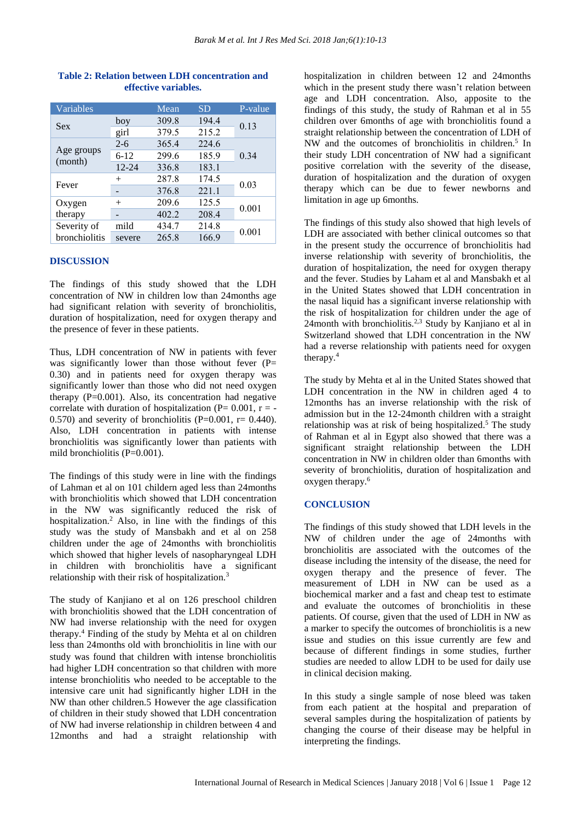| Variables     |           | Mean  | <b>SD</b> | P-value |  |
|---------------|-----------|-------|-----------|---------|--|
| <b>Sex</b>    | boy       | 309.8 | 194.4     | 0.13    |  |
|               | girl      | 379.5 | 215.2     |         |  |
|               | $2 - 6$   | 365.4 | 224.6     |         |  |
| Age groups    | $6-12$    | 299.6 | 185.9     | 0.34    |  |
| (month)       | $12 - 24$ | 336.8 | 183.1     |         |  |
| Fever         | $^{+}$    | 287.8 | 174.5     | 0.03    |  |
|               |           | 376.8 | 221.1     |         |  |
| Oxygen        | $+$       | 209.6 | 125.5     | 0.001   |  |
| therapy       | -         | 402.2 | 208.4     |         |  |
| Severity of   | mild      | 434.7 | 214.8     |         |  |
| bronchiolitis | severe    | 265.8 | 166.9     | 0.001   |  |

#### **Table 2: Relation between LDH concentration and effective variables.**

#### **DISCUSSION**

The findings of this study showed that the LDH concentration of NW in children low than 24months age had significant relation with severity of bronchiolitis, duration of hospitalization, need for oxygen therapy and the presence of fever in these patients.

Thus, LDH concentration of NW in patients with fever was significantly lower than those without fever  $(P=$ 0.30) and in patients need for oxygen therapy was significantly lower than those who did not need oxygen therapy  $(P=0.001)$ . Also, its concentration had negative correlate with duration of hospitalization ( $P= 0.001$ ,  $r = -$ 0.570) and severity of bronchiolitis ( $P=0.001$ ,  $r= 0.440$ ). Also, LDH concentration in patients with intense bronchiolitis was significantly lower than patients with mild bronchiolitis (P=0.001).

The findings of this study were in line with the findings of Lahman et al on 101 childern aged less than 24months with bronchiolitis which showed that LDH concentration in the NW was significantly reduced the risk of hospitalization.<sup>2</sup> Also, in line with the findings of this study was the study of Mansbakh and et al on 258 children under the age of 24months with bronchiolitis which showed that higher levels of nasopharyngeal LDH in children with bronchiolitis have a significant relationship with their risk of hospitalization.<sup>3</sup>

The study of Kanjiano et al on 126 preschool children with bronchiolitis showed that the LDH concentration of NW had inverse relationship with the need for oxygen therapy.<sup>4</sup> Finding of the study by Mehta et al on children less than 24months old with bronchiolitis in line with our study was found that children with intense bronchiolitis had higher LDH concentration so that children with more intense bronchiolitis who needed to be acceptable to the intensive care unit had significantly higher LDH in the NW than other children.5 However the age classification of children in their study showed that LDH concentration of NW had inverse relationship in children between 4 and 12months and had a straight relationship with hospitalization in children between 12 and 24months which in the present study there wasn't relation between age and LDH concentration. Also, apposite to the findings of this study, the study of Rahman et al in 55 children over 6months of age with bronchiolitis found a straight relationship between the concentration of LDH of NW and the outcomes of bronchiolitis in children.<sup>5</sup> In their study LDH concentration of NW had a significant positive correlation with the severity of the disease, duration of hospitalization and the duration of oxygen therapy which can be due to fewer newborns and limitation in age up 6months.

The findings of this study also showed that high levels of LDH are associated with bether clinical outcomes so that in the present study the occurrence of bronchiolitis had inverse relationship with severity of bronchiolitis, the duration of hospitalization, the need for oxygen therapy and the fever. Studies by Laham et al and Mansbakh et al in the United States showed that LDH concentration in the nasal liquid has a significant inverse relationship with the risk of hospitalization for children under the age of 24month with bronchiolitis.2,3 Study by Kanjiano et al in Switzerland showed that LDH concentration in the NW had a reverse relationship with patients need for oxygen therapy.<sup>4</sup>

The study by Mehta et al in the United States showed that LDH concentration in the NW in children aged 4 to 12months has an inverse relationship with the risk of admission but in the 12-24month children with a straight relationship was at risk of being hospitalized.<sup>5</sup> The study of Rahman et al in Egypt also showed that there was a significant straight relationship between the LDH concentration in NW in children older than 6months with severity of bronchiolitis, duration of hospitalization and oxygen therapy.<sup>6</sup>

#### **CONCLUSION**

The findings of this study showed that LDH levels in the NW of children under the age of 24months with bronchiolitis are associated with the outcomes of the disease including the intensity of the disease, the need for oxygen therapy and the presence of fever. The measurement of LDH in NW can be used as a biochemical marker and a fast and cheap test to estimate and evaluate the outcomes of bronchiolitis in these patients. Of course, given that the used of LDH in NW as a marker to specify the outcomes of bronchiolitis is a new issue and studies on this issue currently are few and because of different findings in some studies, further studies are needed to allow LDH to be used for daily use in clinical decision making.

In this study a single sample of nose bleed was taken from each patient at the hospital and preparation of several samples during the hospitalization of patients by changing the course of their disease may be helpful in interpreting the findings.